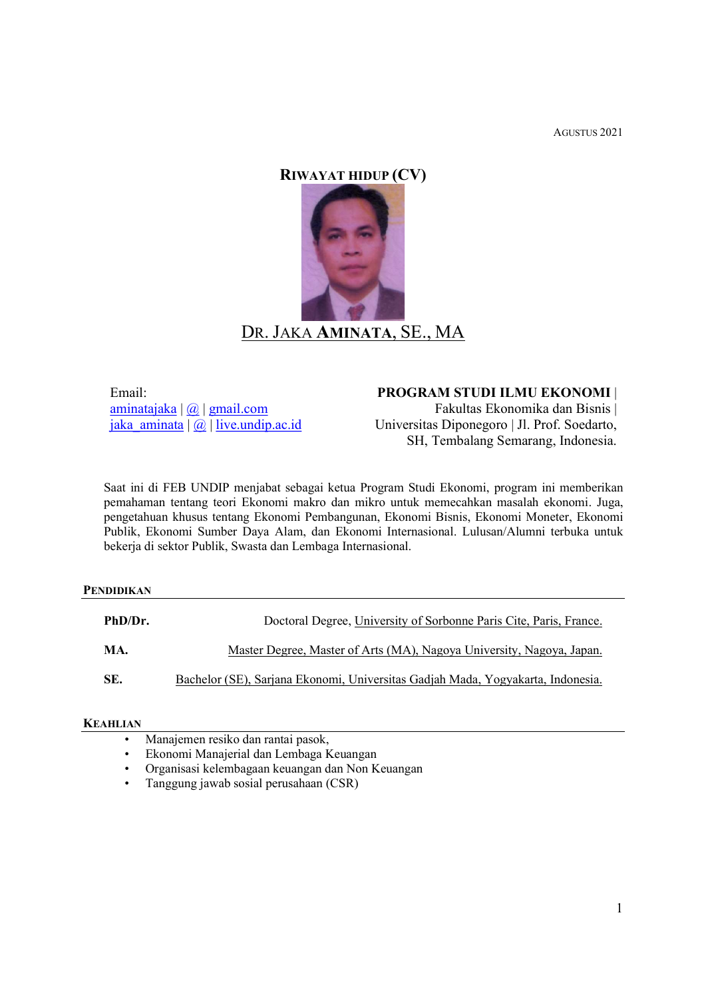AGUSTUS 2021

# RIWAYAT HIDUP (CV)



Email: aminatajaka | @ | gmail.com jaka aminata  $| \overline{w} |$  live.undip.ac.id PROGRAM STUDI ILMU EKONOMI |

Fakultas Ekonomika dan Bisnis | Universitas Diponegoro | Jl. Prof. Soedarto, SH, Tembalang Semarang, Indonesia.

Saat ini di FEB UNDIP menjabat sebagai ketua Program Studi Ekonomi, program ini memberikan pemahaman tentang teori Ekonomi makro dan mikro untuk memecahkan masalah ekonomi. Juga, pengetahuan khusus tentang Ekonomi Pembangunan, Ekonomi Bisnis, Ekonomi Moneter, Ekonomi Publik, Ekonomi Sumber Daya Alam, dan Ekonomi Internasional. Lulusan/Alumni terbuka untuk bekerja di sektor Publik, Swasta dan Lembaga Internasional.

## PENDIDIKAN

| PhD/Dr. | Doctoral Degree, University of Sorbonne Paris Cite, Paris, France.              |
|---------|---------------------------------------------------------------------------------|
| MA.     | Master Degree, Master of Arts (MA), Nagoya University, Nagoya, Japan.           |
| SE.     | Bachelor (SE), Sarjana Ekonomi, Universitas Gadjah Mada, Yogyakarta, Indonesia. |

## KEAHLIAN

- Manajemen resiko dan rantai pasok,
- Ekonomi Manajerial dan Lembaga Keuangan
- Organisasi kelembagaan keuangan dan Non Keuangan
- Tanggung jawab sosial perusahaan (CSR)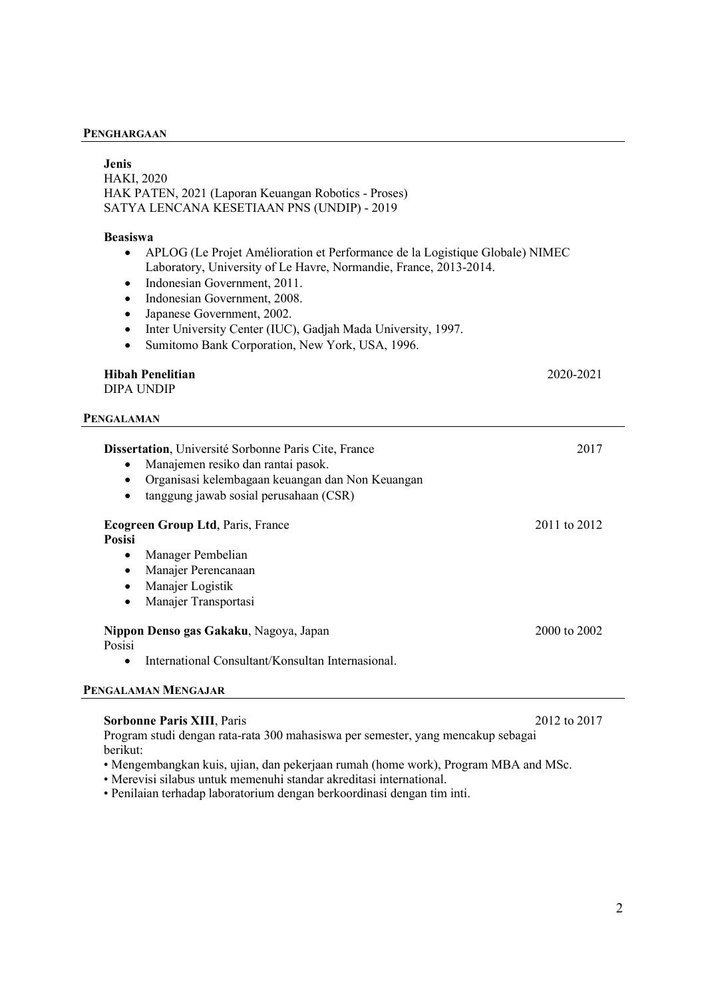#### PENGHARGAAN

| <b>Jenis</b>                                                                                                                                                                                                                                                                                                                                                                     |              |  |
|----------------------------------------------------------------------------------------------------------------------------------------------------------------------------------------------------------------------------------------------------------------------------------------------------------------------------------------------------------------------------------|--------------|--|
| <b>HAKI, 2020</b>                                                                                                                                                                                                                                                                                                                                                                |              |  |
| HAK PATEN, 2021 (Laporan Keuangan Robotics - Proses)<br>SATYA LENCANA KESETIAAN PNS (UNDIP) - 2019                                                                                                                                                                                                                                                                               |              |  |
|                                                                                                                                                                                                                                                                                                                                                                                  |              |  |
| <b>Beasiswa</b>                                                                                                                                                                                                                                                                                                                                                                  |              |  |
| APLOG (Le Projet Amélioration et Performance de la Logistique Globale) NIMEC<br>Laboratory, University of Le Havre, Normandie, France, 2013-2014.<br>Indonesian Government, 2011.<br>$\bullet$<br>Indonesian Government, 2008.<br>$\bullet$<br>Japanese Government, 2002.<br>$\bullet$<br>Inter University Center (IUC), Gadjah Mada University, 1997.<br>$\bullet$<br>$\bullet$ |              |  |
| Sumitomo Bank Corporation, New York, USA, 1996.                                                                                                                                                                                                                                                                                                                                  |              |  |
| <b>Hibah Penelitian</b>                                                                                                                                                                                                                                                                                                                                                          | 2020-2021    |  |
| <b>DIPA UNDIP</b>                                                                                                                                                                                                                                                                                                                                                                |              |  |
| <b>PENGALAMAN</b>                                                                                                                                                                                                                                                                                                                                                                |              |  |
| Dissertation, Université Sorbonne Paris Cite, France                                                                                                                                                                                                                                                                                                                             | 2017         |  |
| Manajemen resiko dan rantai pasok.                                                                                                                                                                                                                                                                                                                                               |              |  |
| Organisasi kelembagaan keuangan dan Non Keuangan<br>$\bullet$                                                                                                                                                                                                                                                                                                                    |              |  |
| tanggung jawab sosial perusahaan (CSR)<br>$\bullet$                                                                                                                                                                                                                                                                                                                              |              |  |
| Ecogreen Group Ltd, Paris, France<br><b>Posisi</b>                                                                                                                                                                                                                                                                                                                               | 2011 to 2012 |  |
| Manager Pembelian<br>$\bullet$                                                                                                                                                                                                                                                                                                                                                   |              |  |
| Manajer Perencanaan<br>$\bullet$                                                                                                                                                                                                                                                                                                                                                 |              |  |
| Manajer Logistik<br>$\bullet$                                                                                                                                                                                                                                                                                                                                                    |              |  |
| Manajer Transportasi<br>$\bullet$                                                                                                                                                                                                                                                                                                                                                |              |  |
| Nippon Denso gas Gakaku, Nagoya, Japan<br>Posisi                                                                                                                                                                                                                                                                                                                                 | 2000 to 2002 |  |
| International Consultant/Konsultan Internasional.<br>$\bullet$                                                                                                                                                                                                                                                                                                                   |              |  |
| PENGALAMAN MENGAJAR                                                                                                                                                                                                                                                                                                                                                              |              |  |

## Sorbonne Paris XIII, Paris 2012 to 2017

Program studi dengan rata-rata 300 mahasiswa per semester, yang mencakup sebagai berikut:

- Mengembangkan kuis, ujian, dan pekerjaan rumah (home work), Program MBA and MSc.
- Merevisi silabus untuk memenuhi standar akreditasi international.
- Penilaian terhadap laboratorium dengan berkoordinasi dengan tim inti.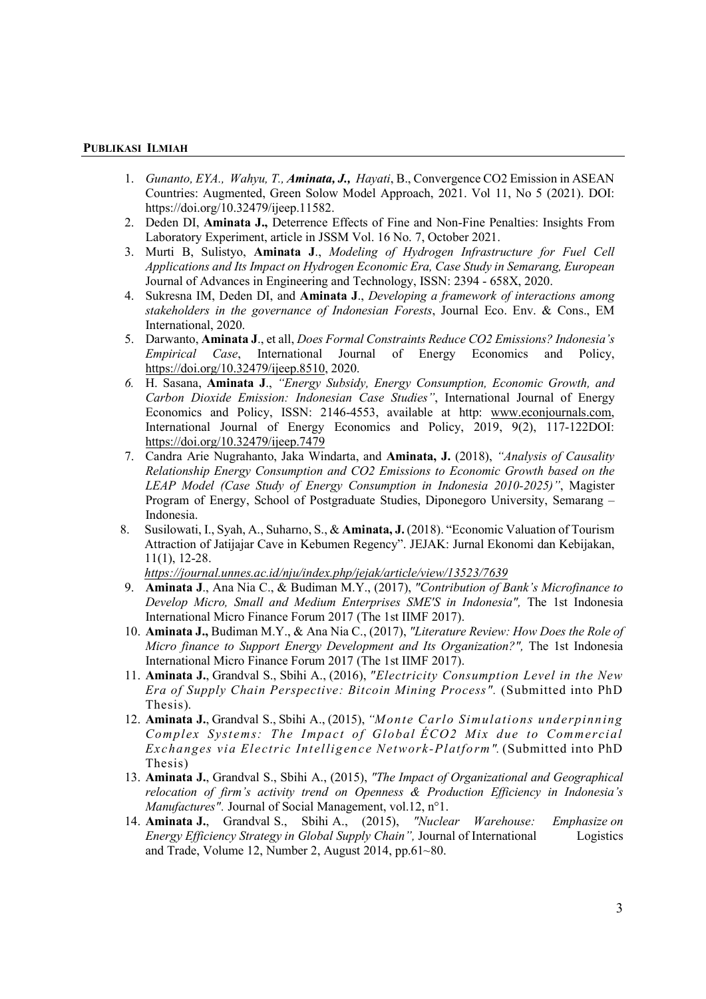#### PUBLIKASI ILMIAH

- 1. Gunanto, EYA., Wahyu, T., **Aminata, J.,** Hayati, B., Convergence CO2 Emission in ASEAN Countries: Augmented, Green Solow Model Approach, 2021. Vol 11, No 5 (2021). DOI: https://doi.org/10.32479/ijeep.11582.
- 2. Deden DI, Aminata J., Deterrence Effects of Fine and Non-Fine Penalties: Insights From Laboratory Experiment, article in JSSM Vol. 16 No. 7, October 2021.
- 3. Murti B, Sulistyo, Aminata J., Modeling of Hydrogen Infrastructure for Fuel Cell Applications and Its Impact on Hydrogen Economic Era, Case Study in Semarang, European Journal of Advances in Engineering and Technology, ISSN: 2394 - 658X, 2020.
- 4. Sukresna IM, Deden DI, and **Aminata J**., *Developing a framework of interactions among* stakeholders in the governance of Indonesian Forests, Journal Eco. Env. & Cons., EM International, 2020.
- 5. Darwanto, Aminata J., et all, Does Formal Constraints Reduce CO2 Emissions? Indonesia's Empirical Case, International Journal of Energy Economics and Policy, https://doi.org/10.32479/ijeep.8510, 2020.
- 6. H. Sasana, Aminata J., "Energy Subsidy, Energy Consumption, Economic Growth, and Carbon Dioxide Emission: Indonesian Case Studies", International Journal of Energy Economics and Policy, ISSN: 2146-4553, available at http: www.econjournals.com, International Journal of Energy Economics and Policy, 2019, 9(2), 117-122DOI: https://doi.org/10.32479/ijeep.7479
- 7. Candra Arie Nugrahanto, Jaka Windarta, and Aminata, J. (2018), "Analysis of Causality Relationship Energy Consumption and CO2 Emissions to Economic Growth based on the LEAP Model (Case Study of Energy Consumption in Indonesia 2010-2025)", Magister Program of Energy, School of Postgraduate Studies, Diponegoro University, Semarang – Indonesia.
- 8. Susilowati, I., Syah, A., Suharno, S., & Aminata, J. (2018). "Economic Valuation of Tourism Attraction of Jatijajar Cave in Kebumen Regency". JEJAK: Jurnal Ekonomi dan Kebijakan, 11(1), 12-28.

https://journal.unnes.ac.id/nju/index.php/jejak/article/view/13523/7639

- 9. Aminata J., Ana Nia C., & Budiman M.Y., (2017), "Contribution of Bank's Microfinance to Develop Micro, Small and Medium Enterprises SME'S in Indonesia", The 1st Indonesia International Micro Finance Forum 2017 (The 1st IIMF 2017).
- 10. Aminata J., Budiman M.Y., & Ana Nia C., (2017), "Literature Review: How Does the Role of Micro finance to Support Energy Development and Its Organization?", The 1st Indonesia International Micro Finance Forum 2017 (The 1st IIMF 2017).
- 11. Aminata J., Grandval S., Sbihi A., (2016), "Electricity Consumption Level in the New Era of Supply Chain Perspective: Bitcoin Mining Process". (Submitted into PhD Thesis).
- 12. Aminata J., Grandval S., Sbihi A., (2015), "Monte Carlo Simulations underpinning Complex Systems: The Impact of Global ÉCO2 Mix due to Commercial Exchanges via Electric Intelligence Network-Platform". (Submitted into PhD Thesis)
- 13. Aminata J., Grandval S., Sbihi A., (2015), "The Impact of Organizational and Geographical relocation of firm's activity trend on Openness & Production Efficiency in Indonesia's Manufactures". Journal of Social Management, vol.12, n°1.
- 14. Aminata J., Grandval S., Sbihi A., (2015), "Nuclear Warehouse: Emphasize on Energy Efficiency Strategy in Global Supply Chain", Journal of International Logistics and Trade, Volume 12, Number 2, August  $2014$ , pp.61 $\sim$ 80.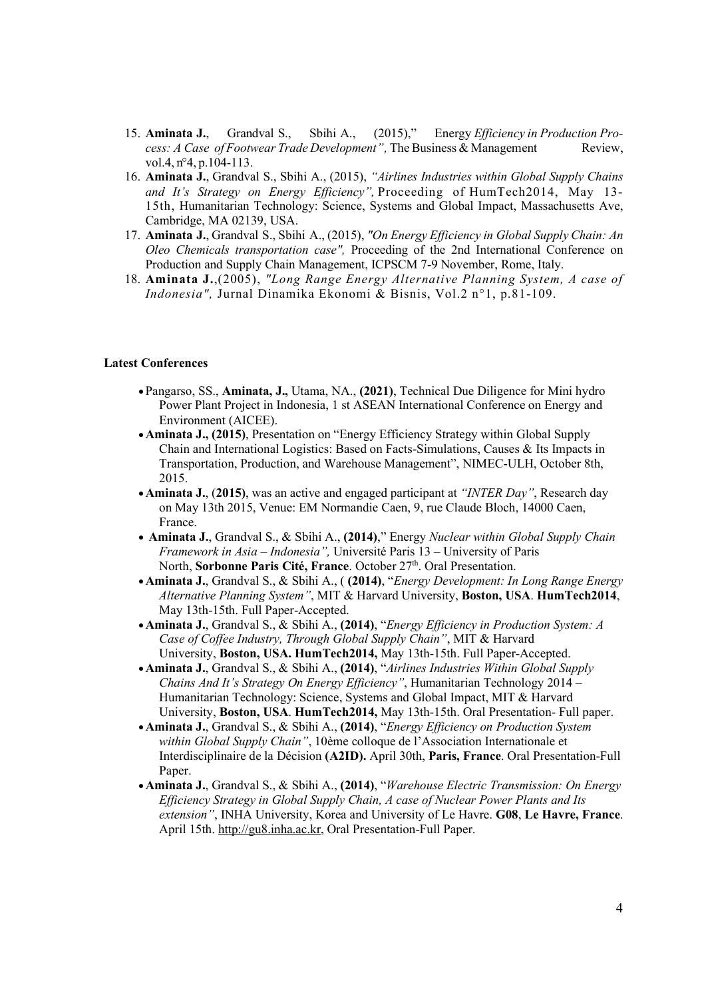- 15. Aminata J., Grandval S., Sbihi A., (2015)," Energy Efficiency in Production Process: A Case of Footwear Trade Development", The Business & Management Review, vol.4, n°4, p.104-113.
- 16. Aminata J., Grandval S., Sbihi A., (2015), "Airlines Industries within Global Supply Chains and It's Strategy on Energy Efficiency", Proceeding of HumTech2014, May 13-15th, Humanitarian Technology: Science, Systems and Global Impact, Massachusetts Ave, Cambridge, MA 02139, USA.
- 17. Aminata J., Grandval S., Sbihi A., (2015), "On Energy Efficiency in Global Supply Chain: An Oleo Chemicals transportation case", Proceeding of the 2nd International Conference on Production and Supply Chain Management, ICPSCM 7-9 November, Rome, Italy.
- 18. Aminata J.,(2005), "Long Range Energy Alternative Planning System, A case of Indonesia", Jurnal Dinamika Ekonomi & Bisnis, Vol.2 n°1, p.81-109.

### Latest Conferences

- Pangarso, SS., Aminata, J., Utama, NA., (2021), Technical Due Diligence for Mini hydro Power Plant Project in Indonesia, 1 st ASEAN International Conference on Energy and Environment (AICEE).
- Aminata J., (2015), Presentation on "Energy Efficiency Strategy within Global Supply Chain and International Logistics: Based on Facts-Simulations, Causes & Its Impacts in Transportation, Production, and Warehouse Management", NIMEC-ULH, October 8th, 2015.
- Aminata J., (2015), was an active and engaged participant at "INTER Day", Research day on May 13th 2015, Venue: EM Normandie Caen, 9, rue Claude Bloch, 14000 Caen, France.
- Aminata J., Grandval S., & Sbihi A., (2014)," Energy Nuclear within Global Supply Chain Framework in Asia – Indonesia", Université Paris 13 – University of Paris North, Sorbonne Paris Cité, France. October 27th. Oral Presentation.
- Aminata J., Grandval S., & Sbihi A., ((2014), "Energy Development: In Long Range Energy Alternative Planning System", MIT & Harvard University, Boston, USA. HumTech2014, May 13th-15th. Full Paper-Accepted.
- Aminata J., Grandval S., & Sbihi A., (2014), "Energy Efficiency in Production System: A Case of Coffee Industry, Through Global Supply Chain", MIT & Harvard University, Boston, USA. HumTech2014, May 13th-15th. Full Paper-Accepted.
- Aminata J., Grandval S., & Sbihi A., (2014), "Airlines Industries Within Global Supply Chains And It's Strategy On Energy Efficiency", Humanitarian Technology 2014 – Humanitarian Technology: Science, Systems and Global Impact, MIT & Harvard University, Boston, USA. HumTech2014, May 13th-15th. Oral Presentation- Full paper.
- Aminata J., Grandval S., & Sbihi A., (2014), "Energy Efficiency on Production System within Global Supply Chain", 10ème colloque de l'Association Internationale et Interdisciplinaire de la Décision (A2ID). April 30th, Paris, France. Oral Presentation-Full Paper.
- Aminata J., Grandval S., & Sbihi A., (2014), "Warehouse Electric Transmission: On Energy Efficiency Strategy in Global Supply Chain, A case of Nuclear Power Plants and Its extension", INHA University, Korea and University of Le Havre. G08, Le Havre, France. April 15th. http://gu8.inha.ac.kr, Oral Presentation-Full Paper.